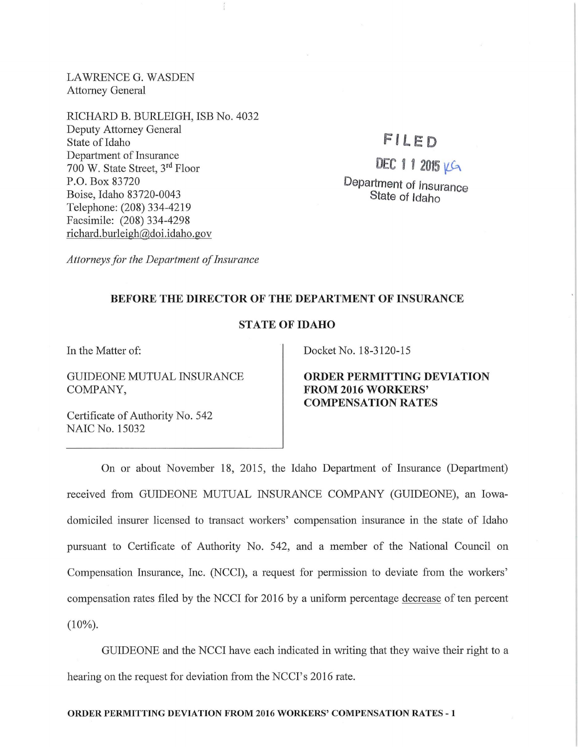LAWRENCE G. WASDEN Attorney General

RICHARD B. BURLEIGH, ISB No. 4032 Deputy Attorney General State of Idaho Department of Insurance 700 W. State Street, 3rd Floor P.O. Box 83720 Boise, Idaho 83720-0043 Telephone: (208) 334-4219 Facsimile: (208) 334-4298 richard. burleigh@doi.idaho.gov

## FILED

 $DEC 1 1 2015 149$ Department of Insurance State of Idaho

*Attorneys for the Department of Insurance* 

## BEFORE THE DIRECTOR OF THE DEPARTMENT OF INSURANCE

## STATE OF IDAHO

In the Matter of:

GUIDEONE MUTUAL INSURANCE COMPANY,

Certificate of Authority No. 542 NAIC No. 15032

Docket No. 18-3120-15

ORDER PERMITTING DEVIATION FROM 2016 WORKERS' **COMPENSATION RATES** 

On or about November 18, 2015, the Idaho Department of Insurance (Department) received from GUIDEONE MUTUAL INSURANCE COMPANY (GUIDEONE), an Iowadomiciled insurer licensed to transact workers' compensation insurance in the state of Idaho pursuant to Certificate of Authority No. 542, and a member of the National Council on Compensation Insurance, Inc. (NCCI), a request for permission to deviate from the workers' compensation rates filed by the NCCI for 2016 by a uniform percentage decrease of ten percent  $(10\%)$ .

GUIDEONE and the NCCI have each indicated in writing that they waive their right to a hearing on the request for deviation from the NCCI's 2016 rate.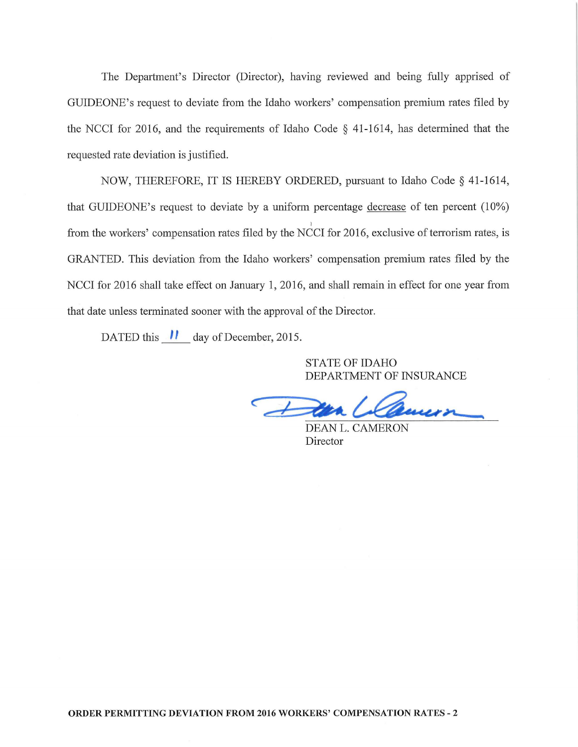The Department's Director (Director), having reviewed and being fully apprised of GUIDEONE's request to deviate from the Idaho workers' compensation premium rates filed by the NCCI for 2016, and the requirements of Idaho Code § 41-1614, has determined that the requested rate deviation is justified.

NOW, THEREFORE, IT IS HEREBY ORDERED, pursuant to Idaho Code§ 41-1614, that GUIDEONE's request to deviate by a uniform percentage decrease of ten percent  $(10\%)$ from the workers' compensation rates filed by the NCCI for 2016, exclusive of terrorism rates, is GRANTED. This deviation from the Idaho workers' compensation premium rates filed by the NCCI for 2016 shall take effect on January 1, 2016, and shall remain in effect for one year from that date unless terminated sooner with the approval of the Director.

DATED this  $\parallel$  day of December, 2015.

STATE OF IDAHO DEPARTMENT OF INSURANCE

DEAN L. CAMERON Director